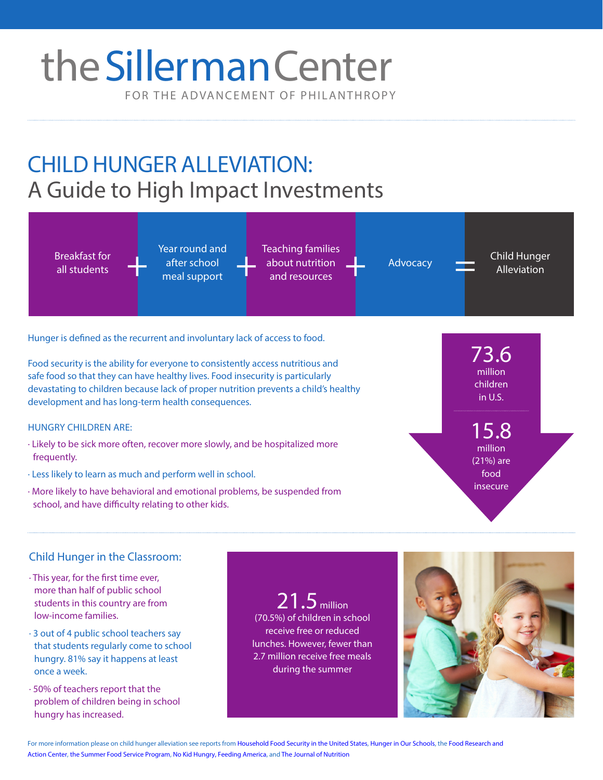# FOR THE ADVANCEMENT OF PHILANTHROPY theSillerman Center

# CHILD HUNGER ALLEVIATION: A Guide to High Impact Investments



Hunger is defined as the recurrent and involuntary lack of access to food.

Food security is the ability for everyone to consistently access nutritious and safe food so that they can have healthy lives. Food insecurity is particularly devastating to children because lack of proper nutrition prevents a child's healthy development and has long-term health consequences.

### HUNGRY CHILDREN ARE:

- · Likely to be sick more often, recover more slowly, and be hospitalized more frequently.
- · Less likely to learn as much and perform well in school.
- · More likely to have behavioral and emotional problems, be suspended from school, and have difficulty relating to other kids.

73.6 million children in U.S.

15.8 million (21%) are food insecure

## Child Hunger in the Classroom:

- · This year, for the first time ever, more than half of public school students in this country are from low-income families.
- · 3 out of 4 public school teachers say that students regularly come to school hungry. 81% say it happens at least once a week.
- · 50% of teachers report that the problem of children being in school hungry has increased.

 $21.5$  million (70.5%) of children in school receive free or reduced lunches. However, fewer than 2.7 million receive free meals during the summer